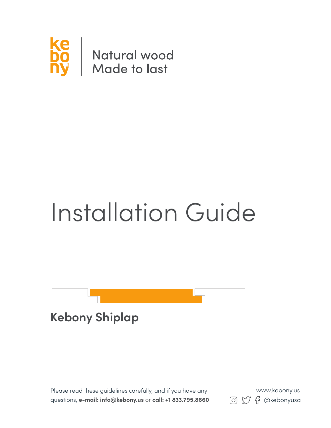

# Installation Guide



Please read these guidelines carefully, and if you have any questions, **e-mail: info@kebony.us** or **call: +1 833.795.8660 8** (6)  $\bigcirc$   $\bigcirc$   $\bigcirc$   $\bigcirc$   $\bigcirc$  exebonyusa

www.kebony.us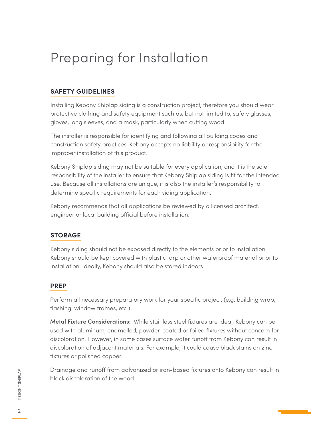## Preparing for Installation

#### **safety guidelines**

Installing Kebony Shiplap siding is a construction project, therefore you should wear protective clothing and safety equipment such as, but not limited to, safety glasses, gloves, long sleeves, and a mask, particularly when cutting wood.

The installer is responsible for identifying and following all building codes and construction safety practices. Kebony accepts no liability or responsibility for the improper installation of this product.

Kebony Shiplap siding may not be suitable for every application, and it is the sole responsibility of the installer to ensure that Kebony Shiplap siding is fit for the intended use. Because all installations are unique, it is also the installer's responsibility to determine specific requirements for each siding application.

Kebony recommends that all applications be reviewed by a licensed architect, engineer or local building official before installation.

#### **storage**

Kebony siding should not be exposed directly to the elements prior to installation. Kebony should be kept covered with plastic tarp or other waterproof material prior to installation. Ideally, Kebony should also be stored indoors.

#### **prep**

Perform all necessary preparatory work for your specific project, (e.g. building wrap, flashing, window frames, etc.)

**Metal Fixture Considerations:** While stainless steel fixtures are ideal, Kebony can be used with aluminum, enamelled, powder-coated or foiled fixtures without concern for discoloration. However, in some cases surface water runoff from Kebony can result in discoloration of adjacent materials. For example, it could cause black stains on zinc fixtures or polished copper.

Drainage and runoff from galvanized or iron-based fixtures onto Kebony can result in black discoloration of the wood.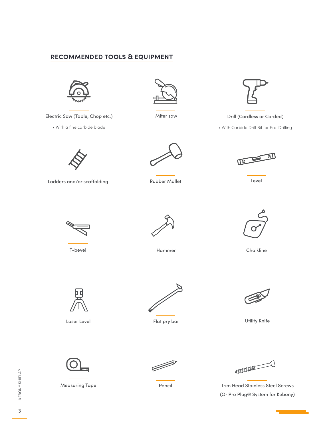#### **recommended tools & equipment**



Electric Saw (Table, Chop etc.)

• With a fine carbide blade



Miter saw



Drill (Cordless or Corded)

• With Carbide Drill Bit for Pre-Drilling



Ladders and/or scaffolding



Rubber Mallet



Level



T-bevel



Hammer Chalkline





Laser Level



Flat pry bar



Utility Knife



Measuring Tape



**ANDIQUE DE LA CONSTRUCCIÓN DE LA CONSTRUCCIÓN DE LA CONSTRUCCIÓN DE LA CONSTRUCCIÓN DE LA CONSTRUCCIÓN DE LA CONSTRUCCIÓN DE LA CONSTRUCCIÓN DE LA CONSTRUCCIÓN DE LA CONSTRUCCIÓN DE LA CONSTRUCCIÓN DE LA CONSTRUCCIÓN DE L** 

Pencil **Trim Head Stainless Steel Screws** (Or Pro Plug® System for Kebony)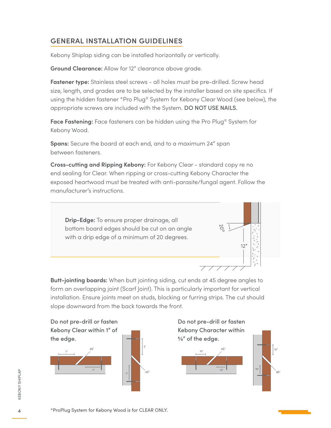### general installation guidelines

Kebony Shiplap siding can be installed horizontally or vertically.

**Ground Clearance:** Allow for 12" clearance above grade.

**Fastener type:** Stainless steel screws - all holes must be pre-drilled. Screw head size, length, and grades are to be selected by the installer based on site specifics. If using the hidden fastener \*Pro Plug® System for Kebony Clear Wood (see below), the appropriate screws are included with the System. DO NOT USE NAILS.

**Face Fastening:** Face fasteners can be hidden using the Pro Plug® System for Kebony Wood.

**Spans:** Secure the board at each end, and to a maximum 24" span between fasteners.

**Cross-cutting and Ripping Kebony:** For Kebony Clear - standard copy re no end sealing for Clear. When ripping or cross-cutting Kebony Character the exposed heartwood must be treated with anti-parasite/fungal agent. Follow the manufacturer's instructions.



**Butt-jointing boards:** When butt jointing siding, cut ends at 45 degree angles to form an overlapping joint (Scarf Joint). This is particularly important for vertical installation. Ensure joints meet on studs, blocking or furring strips. The cut should slope downward from the back towards the front.

Do not pre-drill or fasten Kebony Clear within 1" of the edge.





Do not pre-drill or fasten Kebony Character within 5/8" of the edge.



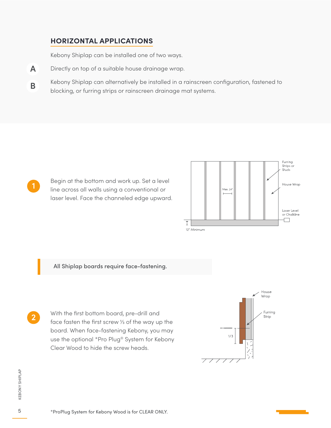#### **horizontal applications**

Kebony Shiplap can be installed one of two ways.

- **A** Directly on top of a suitable house drainage wrap.
- **B** Kebony Shiplap can alternatively be installed in a rainscreen configuration, fastened to blocking, or furring strips or rainscreen drainage mat systems.

**1**

**2**

Begin at the bottom and work up. Set a level line across all walls using a conventional or laser level. Face the channeled edge upward.



#### All Shiplap boards require face-fastening.

With the first bottom board, pre-drill and face fasten the first screw 1/3 of the way up the board. When face-fastening Kebony, you may use the optional \*Pro Plug® System for Kebony Clear Wood to hide the screw heads.



**KEBONY SHIPLAP** KEBONY SHIPLAP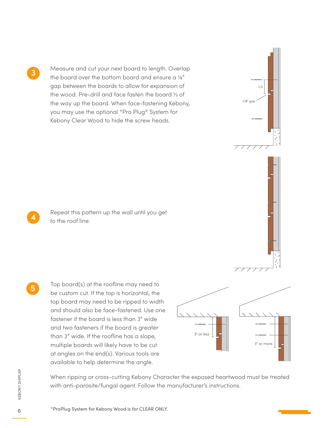**3**

Measure and cut your next board to length. Overlap the board over the bottom board and ensure a ⅛" gap between the boards to allow for expansion of the wood. Pre-drill and face fasten the board 1/3 of the way up the board. When face-fastening Kebony, you may use the optional \*Pro Plug® System for Kebony Clear Wood to hide the screw heads.

 $1/8''$  gap

 $1/3$ 

**5**

Repeat this pattern up the wall until you get to the roof line. **4**

Top board(s) at the roofline may need to be custom cut. If the top is horizontal, the top board may need to be ripped to width and should also be face-fastened. Use one fastener if the board is less than 3" wide and two fasteners if the board is greater than 3" wide. If the roofline has a slope, multiple boards will likely have to be cut at angles on the end(s). Various tools are available to help determine the angle.



When ripping or cross-cutting Kebony Character the exposed heartwood must be treated with anti-parasite/fungal agent. Follow the manufacturer's instructions.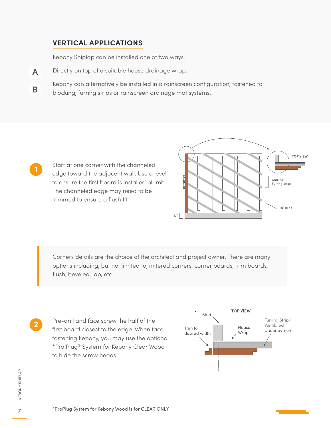#### **vertical applications**

Kebony Shiplap can be installed one of two ways.

- Directly on top of a suitable house drainage wrap. **A**
- Kebony can alternatively be installed in a rainscreen configuration, fastened to blocking, furring strips or rainscreen drainage mat systems. **B**

Start at one corner with the channeled edge toward the adjacent wall. Use a level to ensure the first board is installed plumb. The channeled edge may need to be trimmed to ensure a flush fit.



Corners details are the choice of the architect and project owner. There are many options including, but not limited to, mitered corners, corner boards, trim boards, flush, beveled, lap, etc.

Pre-drill and face screw the half of the first board closest to the edge. When face fastening Kebony, you may use the optional \*Pro Plug® System for Kebony Clear Wood to hide the screw heads. **2**



**1**